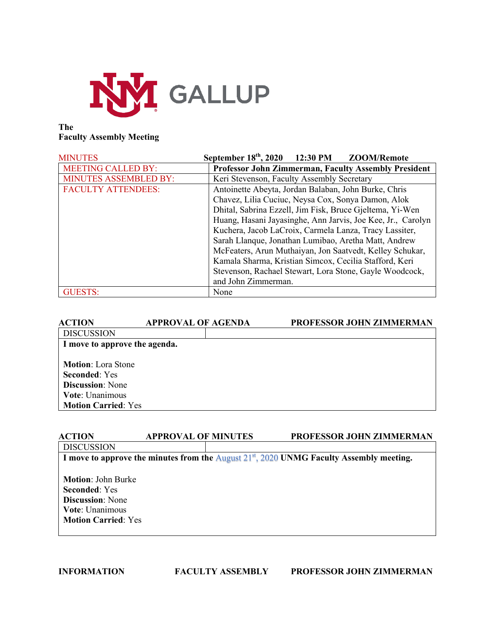

## **The Faculty Assembly Meeting**

| <b>MINUTES</b>            | September 18 <sup>th</sup> , 2020 12:30 PM<br>ZOOM/Remote   |  |  |
|---------------------------|-------------------------------------------------------------|--|--|
| <b>MEETING CALLED BY:</b> | <b>Professor John Zimmerman, Faculty Assembly President</b> |  |  |
| MINUTES ASSEMBLED BY:     | Keri Stevenson, Faculty Assembly Secretary                  |  |  |
| <b>FACULTY ATTENDEES:</b> | Antoinette Abeyta, Jordan Balaban, John Burke, Chris        |  |  |
|                           | Chavez, Lilia Cuciuc, Neysa Cox, Sonya Damon, Alok          |  |  |
|                           | Dhital, Sabrina Ezzell, Jim Fisk, Bruce Gjeltema, Yi-Wen    |  |  |
|                           | Huang, Hasani Jayasinghe, Ann Jarvis, Joe Kee, Jr., Carolyn |  |  |
|                           | Kuchera, Jacob LaCroix, Carmela Lanza, Tracy Lassiter,      |  |  |
|                           | Sarah Llanque, Jonathan Lumibao, Aretha Matt, Andrew        |  |  |
|                           | McFeaters, Arun Muthaiyan, Jon Saatvedt, Kelley Schukar,    |  |  |
|                           | Kamala Sharma, Kristian Simcox, Cecilia Stafford, Keri      |  |  |
|                           | Stevenson, Rachael Stewart, Lora Stone, Gayle Woodcock,     |  |  |
|                           | and John Zimmerman.                                         |  |  |
| <b>GUESTS:</b>            | None                                                        |  |  |

| <b>ACTION</b>                                                                                                                        | <b>APPROVAL OF AGENDA</b> | PROFESSOR JOHN ZIMMERMAN |
|--------------------------------------------------------------------------------------------------------------------------------------|---------------------------|--------------------------|
| <b>DISCUSSION</b>                                                                                                                    |                           |                          |
| I move to approve the agenda.                                                                                                        |                           |                          |
| <b>Motion:</b> Lora Stone<br><b>Seconded:</b> Yes<br><b>Discussion:</b> None<br><b>Vote: Unanimous</b><br><b>Motion Carried: Yes</b> |                           |                          |

### **ACTION APPROVAL OF MINUTES PROFESSOR JOHN ZIMMERMAN DISCUSSION**

**I move to approve the minutes from the** August 21st, 2020 **UNMG Faculty Assembly meeting.**

**Motion**: John Burke **Seconded**: Yes **Discussion**: None **Vote**: Unanimous **Motion Carried**: Yes

## **INFORMATION FACULTY ASSEMBLY PROFESSOR JOHN ZIMMERMAN**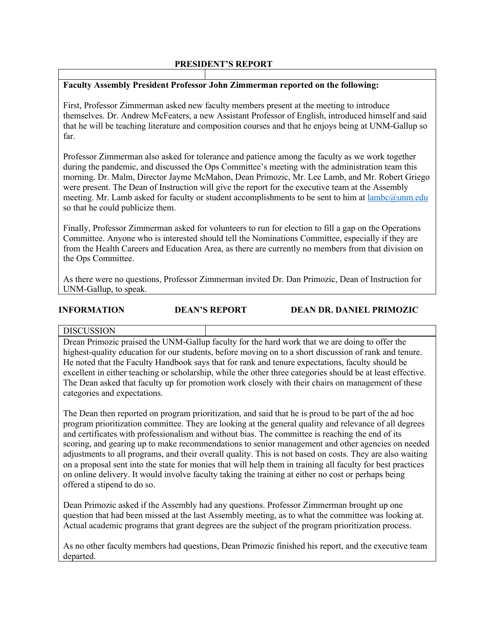## **PRESIDENT'S REPORT**

## **Faculty Assembly President Professor John Zimmerman reported on the following:**

First, Professor Zimmerman asked new faculty members present at the meeting to introduce themselves. Dr. Andrew McFeaters, a new Assistant Professor of English, introduced himself and said that he will be teaching literature and composition courses and that he enjoys being at UNM-Gallup so far.

Professor Zimmerman also asked for tolerance and patience among the faculty as we work together during the pandemic, and discussed the Ops Committee's meeting with the administration team this morning. Dr. Malm, Director Jayme McMahon, Dean Primozic, Mr. Lee Lamb, and Mr. Robert Griego were present. The Dean of Instruction will give the report for the executive team at the Assembly meeting. Mr. Lamb asked for faculty or student accomplishments to be sent to him at lambc@unm.edu so that he could publicize them.

Finally, Professor Zimmerman asked for volunteers to run for election to fill a gap on the Operations Committee. Anyone who is interested should tell the Nominations Committee, especially if they are from the Health Careers and Education Area, as there are currently no members from that division on the Ops Committee.

As there were no questions, Professor Zimmerman invited Dr. Dan Primozic, Dean of Instruction for UNM-Gallup, to speak.

### **INFORMATION DEAN'S REPORT DEAN DR. DANIEL PRIMOZIC**

### **DISCUSSION**

Drean Primozic praised the UNM-Gallup faculty for the hard work that we are doing to offer the highest-quality education for our students, before moving on to a short discussion of rank and tenure. He noted that the Faculty Handbook says that for rank and tenure expectations, faculty should be excellent in either teaching or scholarship, while the other three categories should be at least effective. The Dean asked that faculty up for promotion work closely with their chairs on management of these categories and expectations.

The Dean then reported on program prioritization, and said that he is proud to be part of the ad hoc program prioritization committee. They are looking at the general quality and relevance of all degrees and certificates with professionalism and without bias. The committee is reaching the end of its scoring, and gearing up to make recommendations to senior management and other agencies on needed adjustments to all programs, and their overall quality. This is not based on costs. They are also waiting on a proposal sent into the state for monies that will help them in training all faculty for best practices on online delivery. It would involve faculty taking the training at either no cost or perhaps being offered a stipend to do so.

Dean Primozic asked if the Assembly had any questions. Professor Zimmerman brought up one question that had been missed at the last Assembly meeting, as to what the committee was looking at. Actual academic programs that grant degrees are the subject of the program prioritization process.

As no other faculty members had questions, Dean Primozic finished his report, and the executive team departed.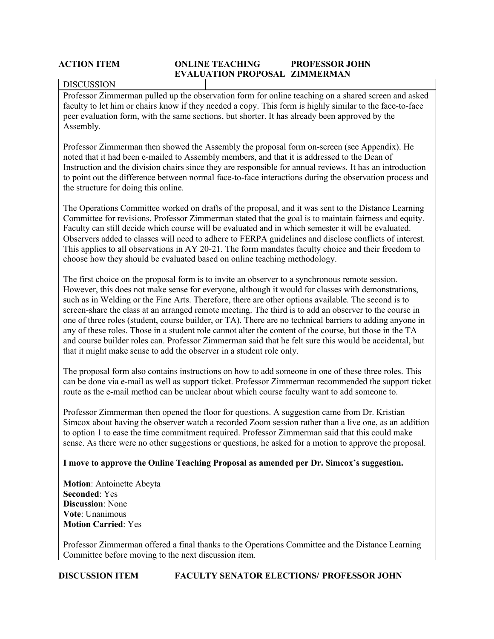## **ACTION ITEM ONLINE TEACHING PROFESSOR JOHN EVALUATION PROPOSAL ZIMMERMAN**

### **DISCUSSION**

Professor Zimmerman pulled up the observation form for online teaching on a shared screen and asked faculty to let him or chairs know if they needed a copy. This form is highly similar to the face-to-face peer evaluation form, with the same sections, but shorter. It has already been approved by the Assembly.

Professor Zimmerman then showed the Assembly the proposal form on-screen (see Appendix). He noted that it had been e-mailed to Assembly members, and that it is addressed to the Dean of Instruction and the division chairs since they are responsible for annual reviews. It has an introduction to point out the difference between normal face-to-face interactions during the observation process and the structure for doing this online.

The Operations Committee worked on drafts of the proposal, and it was sent to the Distance Learning Committee for revisions. Professor Zimmerman stated that the goal is to maintain fairness and equity. Faculty can still decide which course will be evaluated and in which semester it will be evaluated. Observers added to classes will need to adhere to FERPA guidelines and disclose conflicts of interest. This applies to all observations in AY 20-21. The form mandates faculty choice and their freedom to choose how they should be evaluated based on online teaching methodology.

The first choice on the proposal form is to invite an observer to a synchronous remote session. However, this does not make sense for everyone, although it would for classes with demonstrations, such as in Welding or the Fine Arts. Therefore, there are other options available. The second is to screen-share the class at an arranged remote meeting. The third is to add an observer to the course in one of three roles (student, course builder, or TA). There are no technical barriers to adding anyone in any of these roles. Those in a student role cannot alter the content of the course, but those in the TA and course builder roles can. Professor Zimmerman said that he felt sure this would be accidental, but that it might make sense to add the observer in a student role only.

The proposal form also contains instructions on how to add someone in one of these three roles. This can be done via e-mail as well as support ticket. Professor Zimmerman recommended the support ticket route as the e-mail method can be unclear about which course faculty want to add someone to.

Professor Zimmerman then opened the floor for questions. A suggestion came from Dr. Kristian Simcox about having the observer watch a recorded Zoom session rather than a live one, as an addition to option 1 to ease the time commitment required. Professor Zimmerman said that this could make sense. As there were no other suggestions or questions, he asked for a motion to approve the proposal.

## **I move to approve the Online Teaching Proposal as amended per Dr. Simcox's suggestion.**

**Motion**: Antoinette Abeyta **Seconded**: Yes **Discussion**: None **Vote**: Unanimous **Motion Carried**: Yes

Professor Zimmerman offered a final thanks to the Operations Committee and the Distance Learning Committee before moving to the next discussion item.

**DISCUSSION ITEM FACULTY SENATOR ELECTIONS/ PROFESSOR JOHN**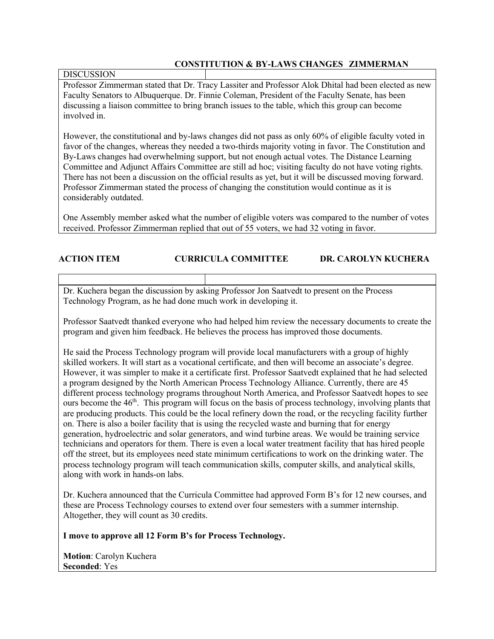## **CONSTITUTION & BY-LAWS CHANGES ZIMMERMAN**

## DISCUSSION

Professor Zimmerman stated that Dr. Tracy Lassiter and Professor Alok Dhital had been elected as new Faculty Senators to Albuquerque. Dr. Finnie Coleman, President of the Faculty Senate, has been discussing a liaison committee to bring branch issues to the table, which this group can become involved in.

However, the constitutional and by-laws changes did not pass as only 60% of eligible faculty voted in favor of the changes, whereas they needed a two-thirds majority voting in favor. The Constitution and By-Laws changes had overwhelming support, but not enough actual votes. The Distance Learning Committee and Adjunct Affairs Committee are still ad hoc; visiting faculty do not have voting rights. There has not been a discussion on the official results as yet, but it will be discussed moving forward. Professor Zimmerman stated the process of changing the constitution would continue as it is considerably outdated.

One Assembly member asked what the number of eligible voters was compared to the number of votes received. Professor Zimmerman replied that out of 55 voters, we had 32 voting in favor.

## **ACTION ITEM CURRICULA COMMITTEE DR. CAROLYN KUCHERA**

Dr. Kuchera began the discussion by asking Professor Jon Saatvedt to present on the Process Technology Program, as he had done much work in developing it.

Professor Saatvedt thanked everyone who had helped him review the necessary documents to create the program and given him feedback. He believes the process has improved those documents.

He said the Process Technology program will provide local manufacturers with a group of highly skilled workers. It will start as a vocational certificate, and then will become an associate's degree. However, it was simpler to make it a certificate first. Professor Saatvedt explained that he had selected a program designed by the North American Process Technology Alliance. Currently, there are 45 different process technology programs throughout North America, and Professor Saatvedt hopes to see ours become the  $46<sup>th</sup>$ . This program will focus on the basis of process technology, involving plants that are producing products. This could be the local refinery down the road, or the recycling facility further on. There is also a boiler facility that is using the recycled waste and burning that for energy generation, hydroelectric and solar generators, and wind turbine areas. We would be training service technicians and operators for them. There is even a local water treatment facility that has hired people off the street, but its employees need state minimum certifications to work on the drinking water. The process technology program will teach communication skills, computer skills, and analytical skills, along with work in hands-on labs.

Dr. Kuchera announced that the Curricula Committee had approved Form B's for 12 new courses, and these are Process Technology courses to extend over four semesters with a summer internship. Altogether, they will count as 30 credits.

**I move to approve all 12 Form B's for Process Technology.**

**Motion**: Carolyn Kuchera **Seconded**: Yes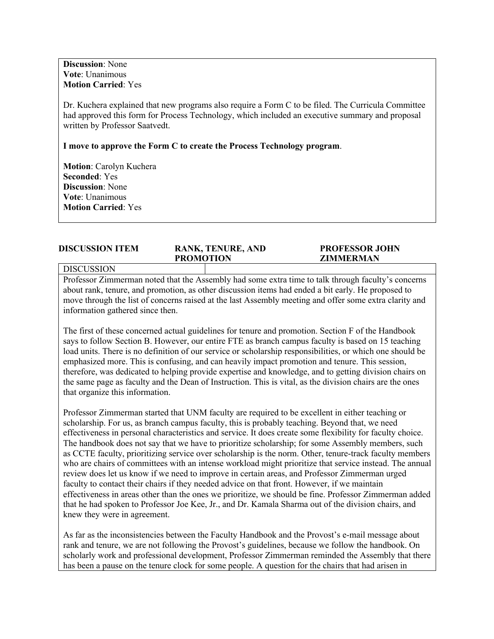**Discussion**: None **Vote**: Unanimous **Motion Carried**: Yes

Dr. Kuchera explained that new programs also require a Form C to be filed. The Curricula Committee had approved this form for Process Technology, which included an executive summary and proposal written by Professor Saatvedt.

**I move to approve the Form C to create the Process Technology program**.

**Motion**: Carolyn Kuchera **Seconded**: Yes **Discussion**: None **Vote**: Unanimous **Motion Carried**: Yes

| <b>DISCUSSION ITEM</b> | <b>RANK, TENURE, AND</b><br><b>PROMOTION</b> | <b>PROFESSOR JOHN</b><br>ZIMMERMAN |
|------------------------|----------------------------------------------|------------------------------------|
| <b>DISCUSSION</b>      |                                              |                                    |

Professor Zimmerman noted that the Assembly had some extra time to talk through faculty's concerns about rank, tenure, and promotion, as other discussion items had ended a bit early. He proposed to move through the list of concerns raised at the last Assembly meeting and offer some extra clarity and information gathered since then.

The first of these concerned actual guidelines for tenure and promotion. Section F of the Handbook says to follow Section B. However, our entire FTE as branch campus faculty is based on 15 teaching load units. There is no definition of our service or scholarship responsibilities, or which one should be emphasized more. This is confusing, and can heavily impact promotion and tenure. This session, therefore, was dedicated to helping provide expertise and knowledge, and to getting division chairs on the same page as faculty and the Dean of Instruction. This is vital, as the division chairs are the ones that organize this information.

Professor Zimmerman started that UNM faculty are required to be excellent in either teaching or scholarship. For us, as branch campus faculty, this is probably teaching. Beyond that, we need effectiveness in personal characteristics and service. It does create some flexibility for faculty choice. The handbook does not say that we have to prioritize scholarship; for some Assembly members, such as CCTE faculty, prioritizing service over scholarship is the norm. Other, tenure-track faculty members who are chairs of committees with an intense workload might prioritize that service instead. The annual review does let us know if we need to improve in certain areas, and Professor Zimmerman urged faculty to contact their chairs if they needed advice on that front. However, if we maintain effectiveness in areas other than the ones we prioritize, we should be fine. Professor Zimmerman added that he had spoken to Professor Joe Kee, Jr., and Dr. Kamala Sharma out of the division chairs, and knew they were in agreement.

As far as the inconsistencies between the Faculty Handbook and the Provost's e-mail message about rank and tenure, we are not following the Provost's guidelines, because we follow the handbook. On scholarly work and professional development, Professor Zimmerman reminded the Assembly that there has been a pause on the tenure clock for some people. A question for the chairs that had arisen in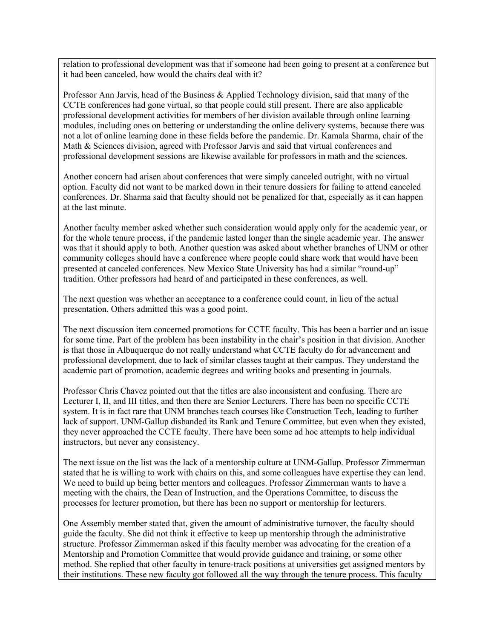relation to professional development was that if someone had been going to present at a conference but it had been canceled, how would the chairs deal with it?

Professor Ann Jarvis, head of the Business & Applied Technology division, said that many of the CCTE conferences had gone virtual, so that people could still present. There are also applicable professional development activities for members of her division available through online learning modules, including ones on bettering or understanding the online delivery systems, because there was not a lot of online learning done in these fields before the pandemic. Dr. Kamala Sharma, chair of the Math & Sciences division, agreed with Professor Jarvis and said that virtual conferences and professional development sessions are likewise available for professors in math and the sciences.

Another concern had arisen about conferences that were simply canceled outright, with no virtual option. Faculty did not want to be marked down in their tenure dossiers for failing to attend canceled conferences. Dr. Sharma said that faculty should not be penalized for that, especially as it can happen at the last minute.

Another faculty member asked whether such consideration would apply only for the academic year, or for the whole tenure process, if the pandemic lasted longer than the single academic year. The answer was that it should apply to both. Another question was asked about whether branches of UNM or other community colleges should have a conference where people could share work that would have been presented at canceled conferences. New Mexico State University has had a similar "round-up" tradition. Other professors had heard of and participated in these conferences, as well.

The next question was whether an acceptance to a conference could count, in lieu of the actual presentation. Others admitted this was a good point.

The next discussion item concerned promotions for CCTE faculty. This has been a barrier and an issue for some time. Part of the problem has been instability in the chair's position in that division. Another is that those in Albuquerque do not really understand what CCTE faculty do for advancement and professional development, due to lack of similar classes taught at their campus. They understand the academic part of promotion, academic degrees and writing books and presenting in journals.

Professor Chris Chavez pointed out that the titles are also inconsistent and confusing. There are Lecturer I, II, and III titles, and then there are Senior Lecturers. There has been no specific CCTE system. It is in fact rare that UNM branches teach courses like Construction Tech, leading to further lack of support. UNM-Gallup disbanded its Rank and Tenure Committee, but even when they existed, they never approached the CCTE faculty. There have been some ad hoc attempts to help individual instructors, but never any consistency.

The next issue on the list was the lack of a mentorship culture at UNM-Gallup. Professor Zimmerman stated that he is willing to work with chairs on this, and some colleagues have expertise they can lend. We need to build up being better mentors and colleagues. Professor Zimmerman wants to have a meeting with the chairs, the Dean of Instruction, and the Operations Committee, to discuss the processes for lecturer promotion, but there has been no support or mentorship for lecturers.

One Assembly member stated that, given the amount of administrative turnover, the faculty should guide the faculty. She did not think it effective to keep up mentorship through the administrative structure. Professor Zimmerman asked if this faculty member was advocating for the creation of a Mentorship and Promotion Committee that would provide guidance and training, or some other method. She replied that other faculty in tenure-track positions at universities get assigned mentors by their institutions. These new faculty got followed all the way through the tenure process. This faculty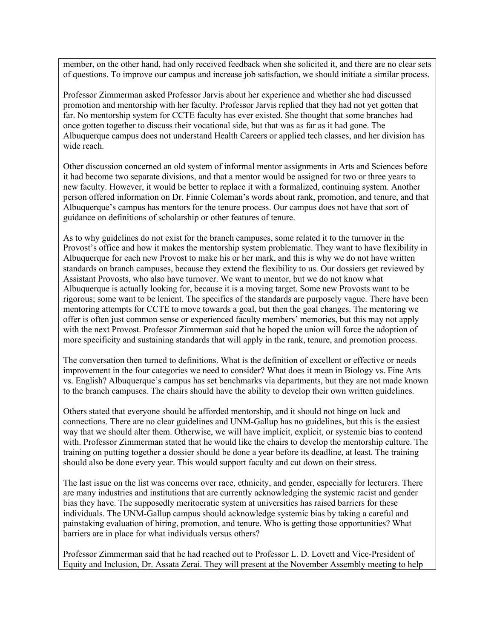member, on the other hand, had only received feedback when she solicited it, and there are no clear sets of questions. To improve our campus and increase job satisfaction, we should initiate a similar process.

Professor Zimmerman asked Professor Jarvis about her experience and whether she had discussed promotion and mentorship with her faculty. Professor Jarvis replied that they had not yet gotten that far. No mentorship system for CCTE faculty has ever existed. She thought that some branches had once gotten together to discuss their vocational side, but that was as far as it had gone. The Albuquerque campus does not understand Health Careers or applied tech classes, and her division has wide reach.

Other discussion concerned an old system of informal mentor assignments in Arts and Sciences before it had become two separate divisions, and that a mentor would be assigned for two or three years to new faculty. However, it would be better to replace it with a formalized, continuing system. Another person offered information on Dr. Finnie Coleman's words about rank, promotion, and tenure, and that Albuquerque's campus has mentors for the tenure process. Our campus does not have that sort of guidance on definitions of scholarship or other features of tenure.

As to why guidelines do not exist for the branch campuses, some related it to the turnover in the Provost's office and how it makes the mentorship system problematic. They want to have flexibility in Albuquerque for each new Provost to make his or her mark, and this is why we do not have written standards on branch campuses, because they extend the flexibility to us. Our dossiers get reviewed by Assistant Provosts, who also have turnover. We want to mentor, but we do not know what Albuquerque is actually looking for, because it is a moving target. Some new Provosts want to be rigorous; some want to be lenient. The specifics of the standards are purposely vague. There have been mentoring attempts for CCTE to move towards a goal, but then the goal changes. The mentoring we offer is often just common sense or experienced faculty members' memories, but this may not apply with the next Provost. Professor Zimmerman said that he hoped the union will force the adoption of more specificity and sustaining standards that will apply in the rank, tenure, and promotion process.

The conversation then turned to definitions. What is the definition of excellent or effective or needs improvement in the four categories we need to consider? What does it mean in Biology vs. Fine Arts vs. English? Albuquerque's campus has set benchmarks via departments, but they are not made known to the branch campuses. The chairs should have the ability to develop their own written guidelines.

Others stated that everyone should be afforded mentorship, and it should not hinge on luck and connections. There are no clear guidelines and UNM-Gallup has no guidelines, but this is the easiest way that we should alter them. Otherwise, we will have implicit, explicit, or systemic bias to contend with. Professor Zimmerman stated that he would like the chairs to develop the mentorship culture. The training on putting together a dossier should be done a year before its deadline, at least. The training should also be done every year. This would support faculty and cut down on their stress.

The last issue on the list was concerns over race, ethnicity, and gender, especially for lecturers. There are many industries and institutions that are currently acknowledging the systemic racist and gender bias they have. The supposedly meritocratic system at universities has raised barriers for these individuals. The UNM-Gallup campus should acknowledge systemic bias by taking a careful and painstaking evaluation of hiring, promotion, and tenure. Who is getting those opportunities? What barriers are in place for what individuals versus others?

Professor Zimmerman said that he had reached out to Professor L. D. Lovett and Vice-President of Equity and Inclusion, Dr. Assata Zerai. They will present at the November Assembly meeting to help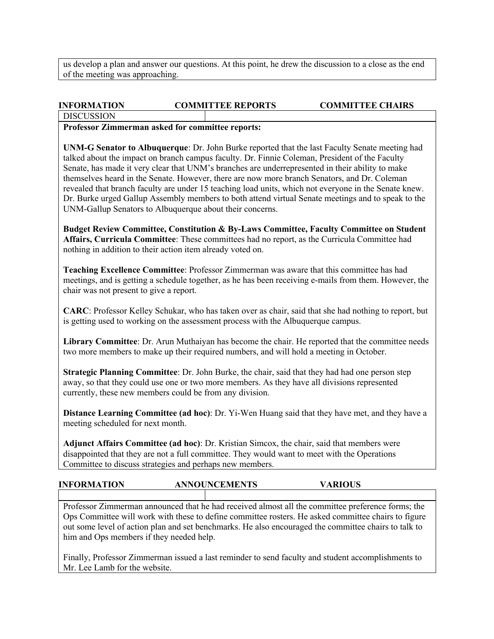us develop a plan and answer our questions. At this point, he drew the discussion to a close as the end of the meeting was approaching.

# **INFORMATION COMMITTEE REPORTS COMMITTEE CHAIRS**

**DISCUSSION** 

## **Professor Zimmerman asked for committee reports:**

**UNM-G Senator to Albuquerque**: Dr. John Burke reported that the last Faculty Senate meeting had talked about the impact on branch campus faculty. Dr. Finnie Coleman, President of the Faculty Senate, has made it very clear that UNM's branches are underrepresented in their ability to make themselves heard in the Senate. However, there are now more branch Senators, and Dr. Coleman revealed that branch faculty are under 15 teaching load units, which not everyone in the Senate knew. Dr. Burke urged Gallup Assembly members to both attend virtual Senate meetings and to speak to the UNM-Gallup Senators to Albuquerque about their concerns.

**Budget Review Committee, Constitution & By-Laws Committee, Faculty Committee on Student Affairs, Curricula Committee**: These committees had no report, as the Curricula Committee had nothing in addition to their action item already voted on.

**Teaching Excellence Committee**: Professor Zimmerman was aware that this committee has had meetings, and is getting a schedule together, as he has been receiving e-mails from them. However, the chair was not present to give a report.

**CARC**: Professor Kelley Schukar, who has taken over as chair, said that she had nothing to report, but is getting used to working on the assessment process with the Albuquerque campus.

**Library Committee**: Dr. Arun Muthaiyan has become the chair. He reported that the committee needs two more members to make up their required numbers, and will hold a meeting in October.

**Strategic Planning Committee**: Dr. John Burke, the chair, said that they had had one person step away, so that they could use one or two more members. As they have all divisions represented currently, these new members could be from any division.

**Distance Learning Committee (ad hoc)**: Dr. Yi-Wen Huang said that they have met, and they have a meeting scheduled for next month.

**Adjunct Affairs Committee (ad hoc)**: Dr. Kristian Simcox, the chair, said that members were disappointed that they are not a full committee. They would want to meet with the Operations Committee to discuss strategies and perhaps new members.

## **INFORMATION ANNOUNCEMENTS VARIOUS**

Professor Zimmerman announced that he had received almost all the committee preference forms; the Ops Committee will work with these to define committee rosters. He asked committee chairs to figure out some level of action plan and set benchmarks. He also encouraged the committee chairs to talk to him and Ops members if they needed help.

Finally, Professor Zimmerman issued a last reminder to send faculty and student accomplishments to Mr. Lee Lamb for the website.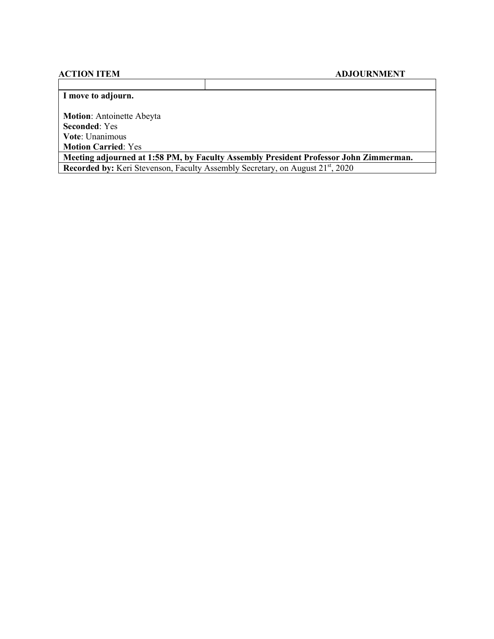## **ACTION ITEM ADJOURNMENT**

## **I move to adjourn.**

**Motion**: Antoinette Abeyta **Seconded**: Yes **Vote**: Unanimous **Motion Carried**: Yes

**Meeting adjourned at 1:58 PM, by Faculty Assembly President Professor John Zimmerman. Recorded by:** Keri Stevenson, Faculty Assembly Secretary, on August 21<sup>st</sup>, 2020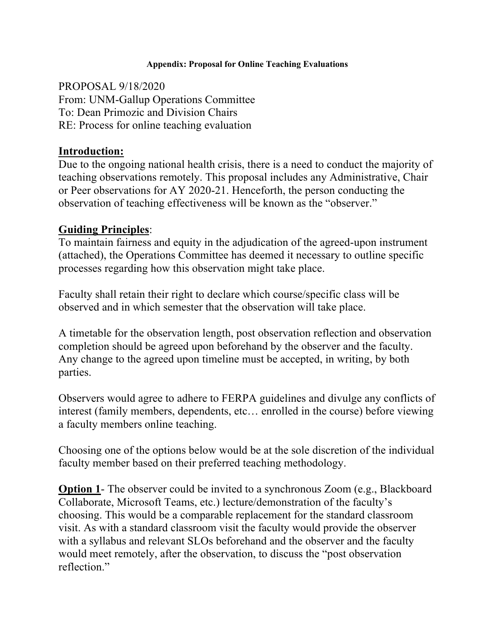## **Appendix: Proposal for Online Teaching Evaluations**

PROPOSAL 9/18/2020 From: UNM-Gallup Operations Committee To: Dean Primozic and Division Chairs RE: Process for online teaching evaluation

# **Introduction:**

Due to the ongoing national health crisis, there is a need to conduct the majority of teaching observations remotely. This proposal includes any Administrative, Chair or Peer observations for AY 2020-21. Henceforth, the person conducting the observation of teaching effectiveness will be known as the "observer."

# **Guiding Principles**:

To maintain fairness and equity in the adjudication of the agreed-upon instrument (attached), the Operations Committee has deemed it necessary to outline specific processes regarding how this observation might take place.

Faculty shall retain their right to declare which course/specific class will be observed and in which semester that the observation will take place.

A timetable for the observation length, post observation reflection and observation completion should be agreed upon beforehand by the observer and the faculty. Any change to the agreed upon timeline must be accepted, in writing, by both parties.

Observers would agree to adhere to FERPA guidelines and divulge any conflicts of interest (family members, dependents, etc… enrolled in the course) before viewing a faculty members online teaching.

Choosing one of the options below would be at the sole discretion of the individual faculty member based on their preferred teaching methodology.

**Option 1-** The observer could be invited to a synchronous Zoom (e.g., Blackboard Collaborate, Microsoft Teams, etc.) lecture/demonstration of the faculty's choosing. This would be a comparable replacement for the standard classroom visit. As with a standard classroom visit the faculty would provide the observer with a syllabus and relevant SLOs beforehand and the observer and the faculty would meet remotely, after the observation, to discuss the "post observation reflection."